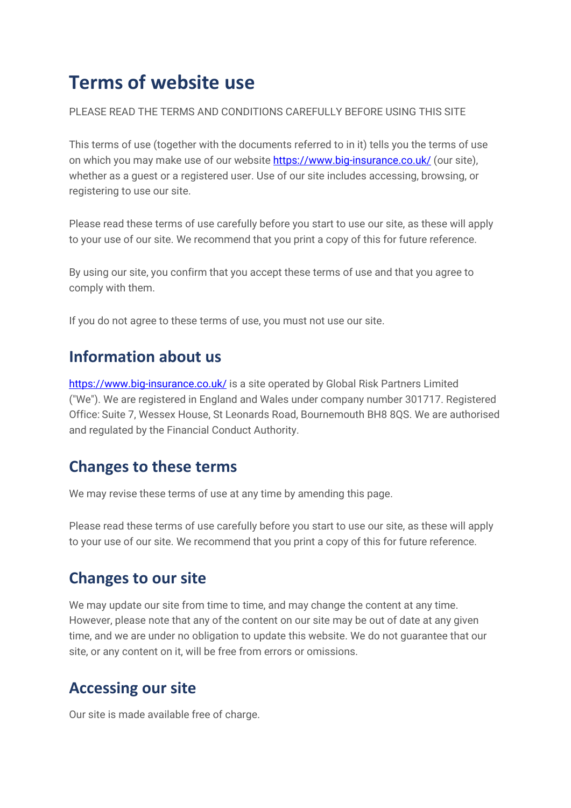# **Terms of website use**

PLEASE READ THE TERMS AND CONDITIONS CAREFULLY BEFORE USING THIS SITE

This terms of use (together with the documents referred to in it) tells you the terms of use on which you may make use of our website <https://www.big-insurance.co.uk/> (our site), whether as a guest or a registered user. Use of our site includes accessing, browsing, or registering to use our site.

Please read these terms of use carefully before you start to use our site, as these will apply to your use of our site. We recommend that you print a copy of this for future reference.

By using our site, you confirm that you accept these terms of use and that you agree to comply with them.

If you do not agree to these terms of use, you must not use our site.

### **Information about us**

<https://www.big-insurance.co.uk/> is a site operated by Global Risk Partners Limited ("We"). We are registered in England and Wales under company number 301717. Registered Office: Suite 7, Wessex House, St Leonards Road, Bournemouth BH8 8QS. We are authorised and regulated by the Financial Conduct Authority.

## **Changes to these terms**

We may revise these terms of use at any time by amending this page.

Please read these terms of use carefully before you start to use our site, as these will apply to your use of our site. We recommend that you print a copy of this for future reference.

## **Changes to our site**

We may update our site from time to time, and may change the content at any time. However, please note that any of the content on our site may be out of date at any given time, and we are under no obligation to update this website. We do not guarantee that our site, or any content on it, will be free from errors or omissions.

## **Accessing our site**

Our site is made available free of charge.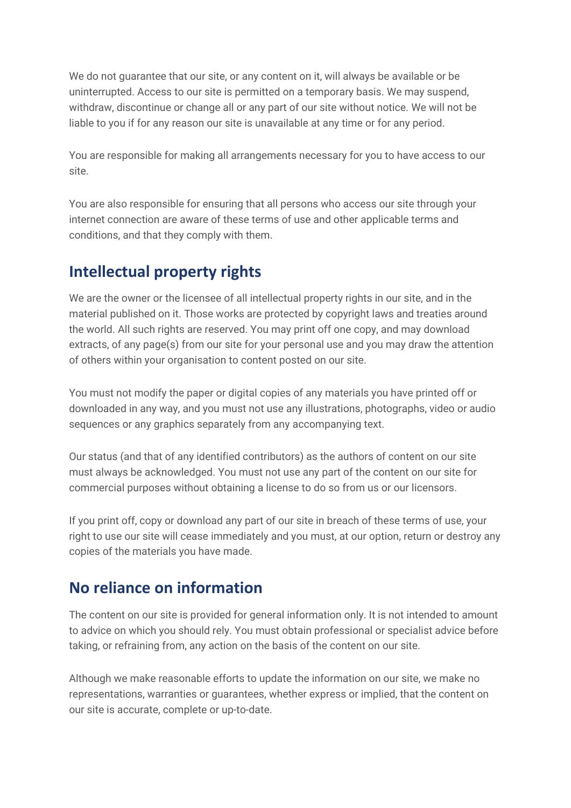We do not guarantee that our site, or any content on it, will always be available or be uninterrupted. Access to our site is permitted on a temporary basis. We may suspend, withdraw, discontinue or change all or any part of our site without notice. We will not be liable to you if for any reason our site is unavailable at any time or for any period.

You are responsible for making all arrangements necessary for you to have access to our site.

You are also responsible for ensuring that all persons who access our site through your internet connection are aware of these terms of use and other applicable terms and conditions, and that they comply with them.

# **Intellectual property rights**

We are the owner or the licensee of all intellectual property rights in our site, and in the material published on it. Those works are protected by copyright laws and treaties around the world. All such rights are reserved. You may print off one copy, and may download extracts, of any page(s) from our site for your personal use and you may draw the attention of others within your organisation to content posted on our site.

You must not modify the paper or digital copies of any materials you have printed off or downloaded in any way, and you must not use any illustrations, photographs, video or audio sequences or any graphics separately from any accompanying text.

Our status (and that of any identified contributors) as the authors of content on our site must always be acknowledged. You must not use any part of the content on our site for commercial purposes without obtaining a license to do so from us or our licensors.

If you print off, copy or download any part of our site in breach of these terms of use, your right to use our site will cease immediately and you must, at our option, return or destroy any copies of the materials you have made.

## **No reliance on information**

The content on our site is provided for general information only. It is not intended to amount to advice on which you should rely. You must obtain professional or specialist advice before taking, or refraining from, any action on the basis of the content on our site.

Although we make reasonable efforts to update the information on our site, we make no representations, warranties or guarantees, whether express or implied, that the content on our site is accurate, complete or up-to-date.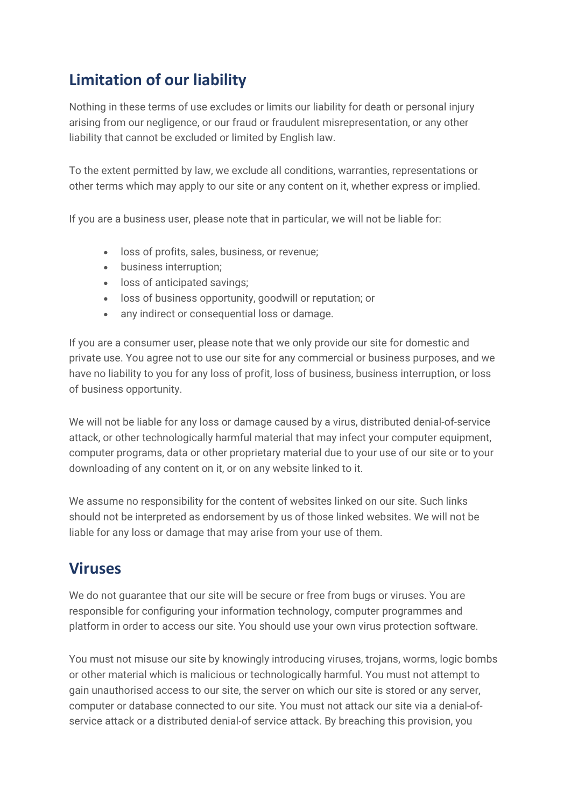# **Limitation of our liability**

Nothing in these terms of use excludes or limits our liability for death or personal injury arising from our negligence, or our fraud or fraudulent misrepresentation, or any other liability that cannot be excluded or limited by English law.

To the extent permitted by law, we exclude all conditions, warranties, representations or other terms which may apply to our site or any content on it, whether express or implied.

If you are a business user, please note that in particular, we will not be liable for:

- loss of profits, sales, business, or revenue;
- business interruption;
- loss of anticipated savings;
- loss of business opportunity, goodwill or reputation; or
- any indirect or consequential loss or damage.

If you are a consumer user, please note that we only provide our site for domestic and private use. You agree not to use our site for any commercial or business purposes, and we have no liability to you for any loss of profit, loss of business, business interruption, or loss of business opportunity.

We will not be liable for any loss or damage caused by a virus, distributed denial-of-service attack, or other technologically harmful material that may infect your computer equipment, computer programs, data or other proprietary material due to your use of our site or to your downloading of any content on it, or on any website linked to it.

We assume no responsibility for the content of websites linked on our site. Such links should not be interpreted as endorsement by us of those linked websites. We will not be liable for any loss or damage that may arise from your use of them.

## **Viruses**

We do not guarantee that our site will be secure or free from bugs or viruses. You are responsible for configuring your information technology, computer programmes and platform in order to access our site. You should use your own virus protection software.

You must not misuse our site by knowingly introducing viruses, trojans, worms, logic bombs or other material which is malicious or technologically harmful. You must not attempt to gain unauthorised access to our site, the server on which our site is stored or any server, computer or database connected to our site. You must not attack our site via a denial-ofservice attack or a distributed denial-of service attack. By breaching this provision, you